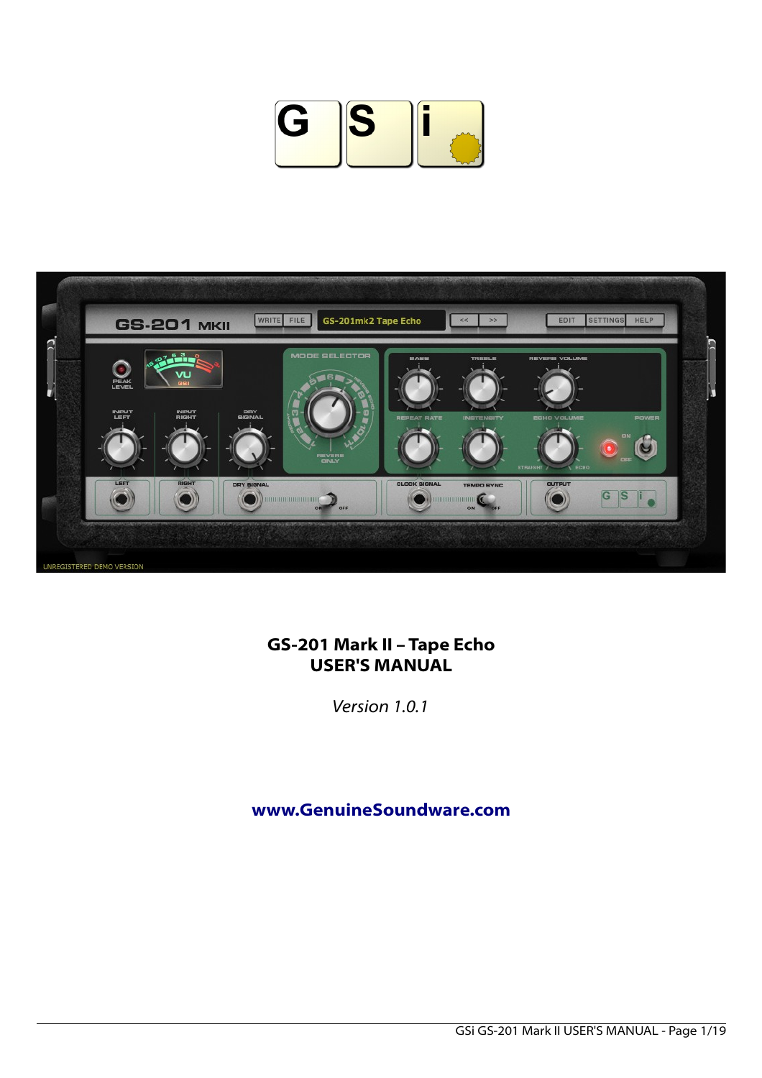



# **GS-201 Mark II – Tape Echo USER'S MANUAL**

*Version 1.0.1*

**[www.GenuineSoundware.com](http://www.GenuineSoundware.com/)**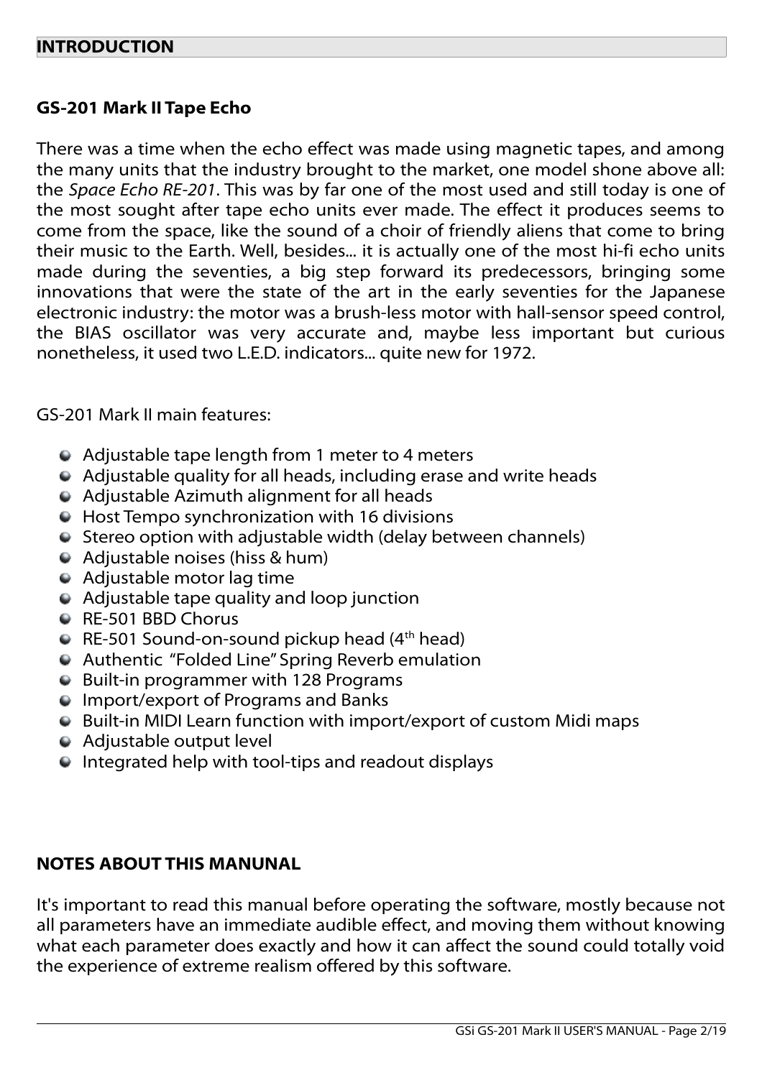## **GS-201 Mark II Tape Echo**

There was a time when the echo effect was made using magnetic tapes, and among the many units that the industry brought to the market, one model shone above all: the *Space Echo RE-201*. This was by far one of the most used and still today is one of the most sought after tape echo units ever made. The effect it produces seems to come from the space, like the sound of a choir of friendly aliens that come to bring their music to the Earth. Well, besides... it is actually one of the most hi-fi echo units made during the seventies, a big step forward its predecessors, bringing some innovations that were the state of the art in the early seventies for the Japanese electronic industry: the motor was a brush-less motor with hall-sensor speed control, the BIAS oscillator was very accurate and, maybe less important but curious nonetheless, it used two L.E.D. indicators... quite new for 1972.

GS-201 Mark II main features:

- Adjustable tape length from 1 meter to 4 meters
- Adjustable quality for all heads, including erase and write heads
- Adjustable Azimuth alignment for all heads
- Host Tempo synchronization with 16 divisions
- Stereo option with adjustable width (delay between channels)
- Adjustable noises (hiss & hum)
- Adjustable motor lag time
- Adjustable tape quality and loop junction
- RE-501 BBD Chorus
- RE-501 Sound-on-sound pickup head  $(4<sup>th</sup> head)$
- Authentic "Folded Line" Spring Reverb emulation
- Built-in programmer with 128 Programs
- **Import/export of Programs and Banks**
- Built-in MIDI Learn function with import/export of custom Midi maps
- Adjustable output level
- Integrated help with tool-tips and readout displays

### **NOTES ABOUT THIS MANUNAL**

It's important to read this manual before operating the software, mostly because not all parameters have an immediate audible effect, and moving them without knowing what each parameter does exactly and how it can affect the sound could totally void the experience of extreme realism offered by this software.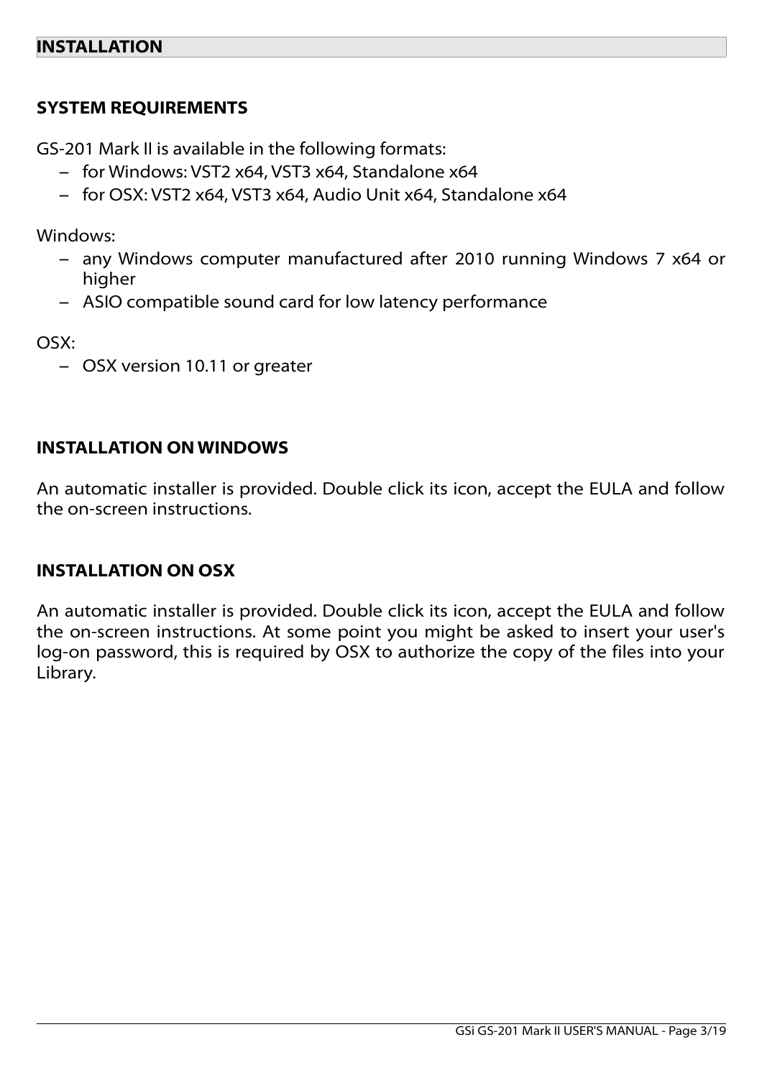# **SYSTEM REQUIREMENTS**

GS-201 Mark II is available in the following formats:

- for Windows: VST2 x64, VST3 x64, Standalone x64
- for OSX: VST2 x64, VST3 x64, Audio Unit x64, Standalone x64

Windows:

- any Windows computer manufactured after 2010 running Windows 7 x64 or higher
- ASIO compatible sound card for low latency performance

OSX:

– OSX version 10.11 or greater

## **INSTALLATION ON WINDOWS**

An automatic installer is provided. Double click its icon, accept the EULA and follow the on-screen instructions.

### **INSTALLATION ON OSX**

An automatic installer is provided. Double click its icon, accept the EULA and follow the on-screen instructions. At some point you might be asked to insert your user's log-on password, this is required by OSX to authorize the copy of the files into your Library.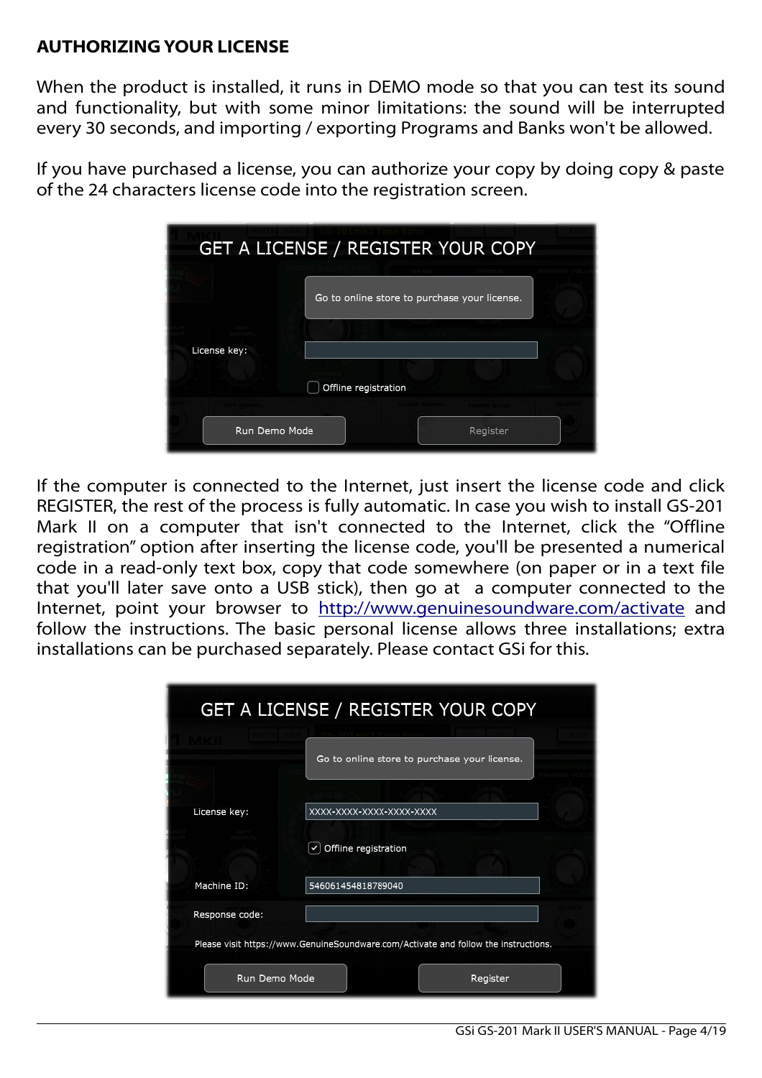## **AUTHORIZING YOUR LICENSE**

When the product is installed, it runs in DEMO mode so that you can test its sound and functionality, but with some minor limitations: the sound will be interrupted every 30 seconds, and importing / exporting Programs and Banks won't be allowed.

If you have purchased a license, you can authorize your copy by doing copy & paste of the 24 characters license code into the registration screen.

| GET A LICENSE / REGISTER YOUR COPY |                                              |  |  |  |
|------------------------------------|----------------------------------------------|--|--|--|
|                                    | Go to online store to purchase your license. |  |  |  |
| License key:                       |                                              |  |  |  |
|                                    | Offline registration                         |  |  |  |
|                                    |                                              |  |  |  |
| Run Demo Mode                      | Register                                     |  |  |  |

If the computer is connected to the Internet, just insert the license code and click REGISTER, the rest of the process is fully automatic. In case you wish to install GS-201 Mark II on a computer that isn't connected to the Internet, click the "Offline registration" option after inserting the license code, you'll be presented a numerical code in a read-only text box, copy that code somewhere (on paper or in a text file that you'll later save onto a USB stick), then go at a computer connected to the Internet, point your browser to<http://www.genuinesoundware.com/activate>and follow the instructions. The basic personal license allows three installations; extra installations can be purchased separately. Please contact GSi for this.

|                | <b>GET A LICENSE / REGISTER YOUR COPY</b>                                           |  |  |
|----------------|-------------------------------------------------------------------------------------|--|--|
|                | Go to online store to purchase your license.                                        |  |  |
|                |                                                                                     |  |  |
| License key:   | XXXX-XXXX-XXXX-XXXX-XXXX                                                            |  |  |
|                | Offline registration                                                                |  |  |
| Machine ID:    | 546061454818789040                                                                  |  |  |
| Response code: |                                                                                     |  |  |
|                | Please visit https://www.GenuineSoundware.com/Activate and follow the instructions. |  |  |
| Run Demo Mode  | Register                                                                            |  |  |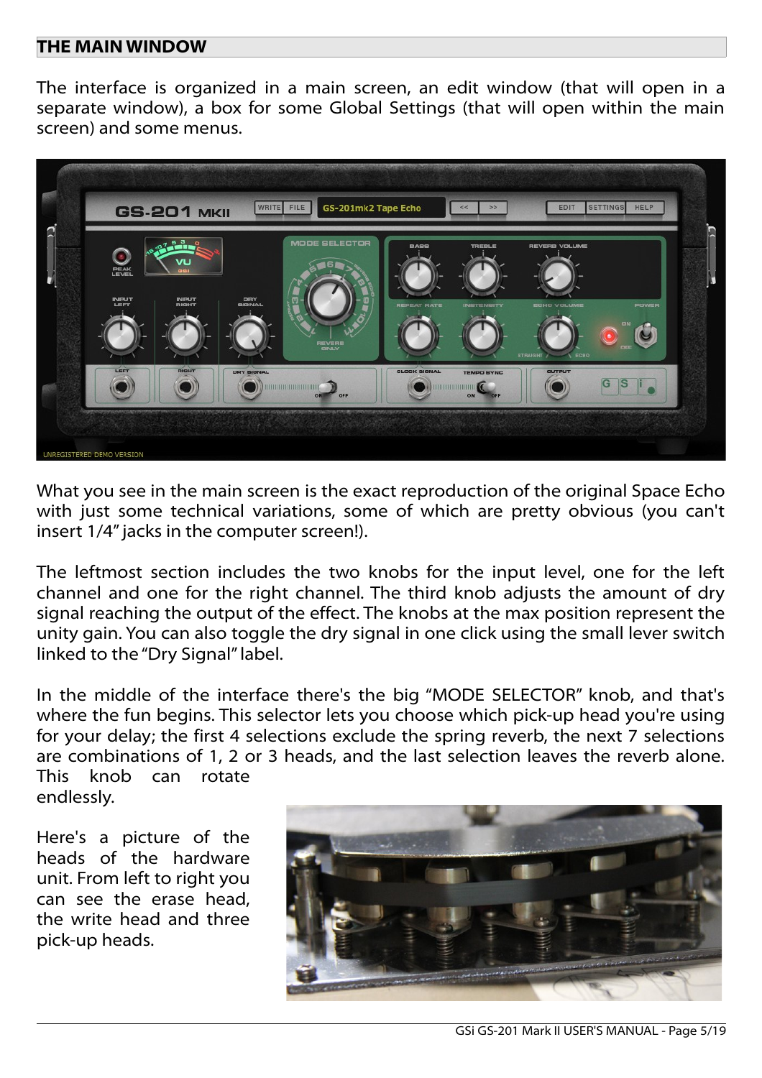#### **THE MAIN WINDOW**

The interface is organized in a main screen, an edit window (that will open in a separate window), a box for some Global Settings (that will open within the main screen) and some menus.



What you see in the main screen is the exact reproduction of the original Space Echo with just some technical variations, some of which are pretty obvious (you can't insert 1/4" jacks in the computer screen!).

The leftmost section includes the two knobs for the input level, one for the left channel and one for the right channel. The third knob adjusts the amount of dry signal reaching the output of the effect. The knobs at the max position represent the unity gain. You can also toggle the dry signal in one click using the small lever switch linked to the "Dry Signal" label.

In the middle of the interface there's the big "MODE SELECTOR" knob, and that's where the fun begins. This selector lets you choose which pick-up head you're using for your delay; the first 4 selections exclude the spring reverb, the next 7 selections are combinations of 1, 2 or 3 heads, and the last selection leaves the reverb alone. This knob can rotate endlessly.

Here's a picture of the heads of the hardware unit. From left to right you can see the erase head, the write head and three pick-up heads.

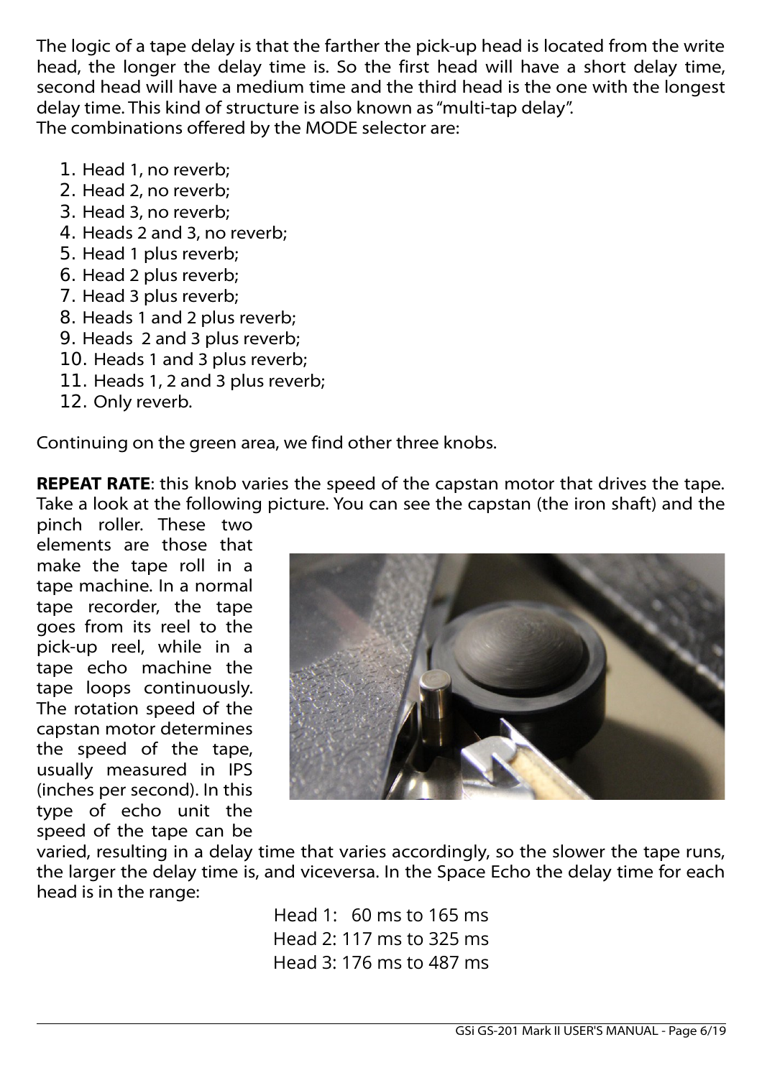The logic of a tape delay is that the farther the pick-up head is located from the write head, the longer the delay time is. So the first head will have a short delay time, second head will have a medium time and the third head is the one with the longest delay time. This kind of structure is also known as "multi-tap delay". The combinations offered by the MODE selector are:

- 1. Head 1, no reverb;
- 2. Head 2, no reverb;
- 3. Head 3, no reverb;
- 4. Heads 2 and 3, no reverb;
- 5. Head 1 plus reverb;
- 6. Head 2 plus reverb;
- 7. Head 3 plus reverb;
- 8. Heads 1 and 2 plus reverb;
- 9. Heads 2 and 3 plus reverb;
- 10. Heads 1 and 3 plus reverb;
- 11. Heads 1, 2 and 3 plus reverb;
- 12. Only reverb.

Continuing on the green area, we find other three knobs.

**REPEAT RATE:** this knob varies the speed of the capstan motor that drives the tape. Take a look at the following picture. You can see the capstan (the iron shaft) and the

pinch roller. These two elements are those that make the tape roll in a tape machine. In a normal tape recorder, the tape goes from its reel to the pick-up reel, while in a tape echo machine the tape loops continuously. The rotation speed of the capstan motor determines the speed of the tape, usually measured in IPS (inches per second). In this type of echo unit the speed of the tape can be



varied, resulting in a delay time that varies accordingly, so the slower the tape runs, the larger the delay time is, and viceversa. In the Space Echo the delay time for each head is in the range:

> Head 1: 60 ms to 165 ms Head 2: 117 ms to 325 ms Head 3: 176 ms to 487 ms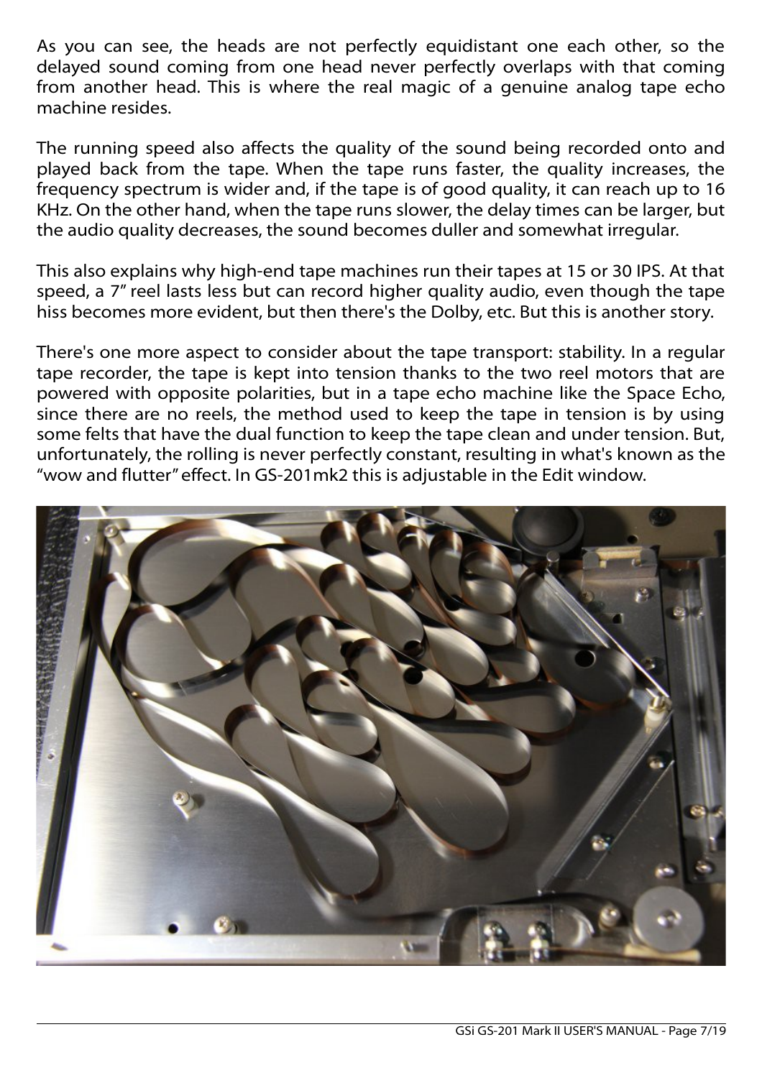As you can see, the heads are not perfectly equidistant one each other, so the delayed sound coming from one head never perfectly overlaps with that coming from another head. This is where the real magic of a genuine analog tape echo machine resides.

The running speed also affects the quality of the sound being recorded onto and played back from the tape. When the tape runs faster, the quality increases, the frequency spectrum is wider and, if the tape is of good quality, it can reach up to 16 KHz. On the other hand, when the tape runs slower, the delay times can be larger, but the audio quality decreases, the sound becomes duller and somewhat irregular.

This also explains why high-end tape machines run their tapes at 15 or 30 IPS. At that speed, a 7" reel lasts less but can record higher quality audio, even though the tape hiss becomes more evident, but then there's the Dolby, etc. But this is another story.

There's one more aspect to consider about the tape transport: stability. In a regular tape recorder, the tape is kept into tension thanks to the two reel motors that are powered with opposite polarities, but in a tape echo machine like the Space Echo, since there are no reels, the method used to keep the tape in tension is by using some felts that have the dual function to keep the tape clean and under tension. But, unfortunately, the rolling is never perfectly constant, resulting in what's known as the "wow and flutter" effect. In GS-201mk2 this is adjustable in the Edit window.

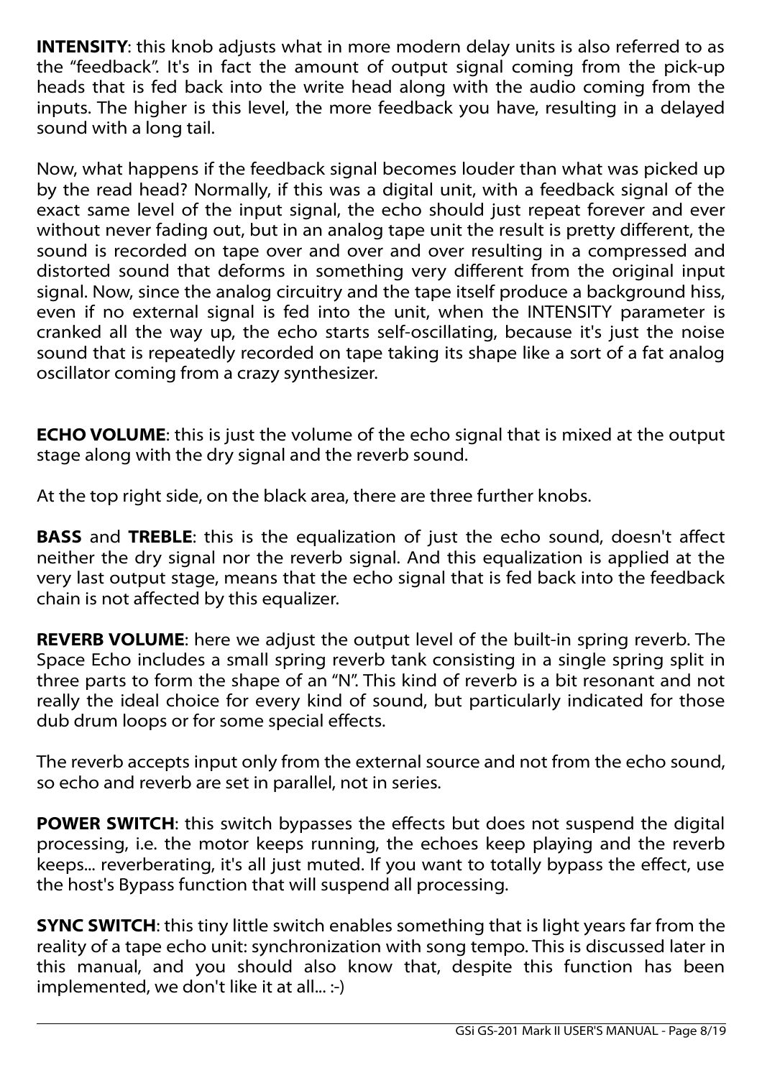**INTENSITY:** this knob adjusts what in more modern delay units is also referred to as the "feedback". It's in fact the amount of output signal coming from the pick-up heads that is fed back into the write head along with the audio coming from the inputs. The higher is this level, the more feedback you have, resulting in a delayed sound with a long tail.

Now, what happens if the feedback signal becomes louder than what was picked up by the read head? Normally, if this was a digital unit, with a feedback signal of the exact same level of the input signal, the echo should just repeat forever and ever without never fading out, but in an analog tape unit the result is pretty different, the sound is recorded on tape over and over and over resulting in a compressed and distorted sound that deforms in something very different from the original input signal. Now, since the analog circuitry and the tape itself produce a background hiss, even if no external signal is fed into the unit, when the INTENSITY parameter is cranked all the way up, the echo starts self-oscillating, because it's just the noise sound that is repeatedly recorded on tape taking its shape like a sort of a fat analog oscillator coming from a crazy synthesizer.

**ECHO VOLUME:** this is just the volume of the echo signal that is mixed at the output stage along with the dry signal and the reverb sound.

At the top right side, on the black area, there are three further knobs.

**BASS** and **TREBLE**: this is the equalization of just the echo sound, doesn't affect neither the dry signal nor the reverb signal. And this equalization is applied at the very last output stage, means that the echo signal that is fed back into the feedback chain is not affected by this equalizer.

**REVERB VOLUME**: here we adjust the output level of the built-in spring reverb. The Space Echo includes a small spring reverb tank consisting in a single spring split in three parts to form the shape of an "N". This kind of reverb is a bit resonant and not really the ideal choice for every kind of sound, but particularly indicated for those dub drum loops or for some special effects.

The reverb accepts input only from the external source and not from the echo sound, so echo and reverb are set in parallel, not in series.

**POWER SWITCH:** this switch bypasses the effects but does not suspend the digital processing, i.e. the motor keeps running, the echoes keep playing and the reverb keeps... reverberating, it's all just muted. If you want to totally bypass the effect, use the host's Bypass function that will suspend all processing.

**SYNC SWITCH:** this tiny little switch enables something that is light years far from the reality of a tape echo unit: synchronization with song tempo. This is discussed later in this manual, and you should also know that, despite this function has been implemented, we don't like it at all... :-)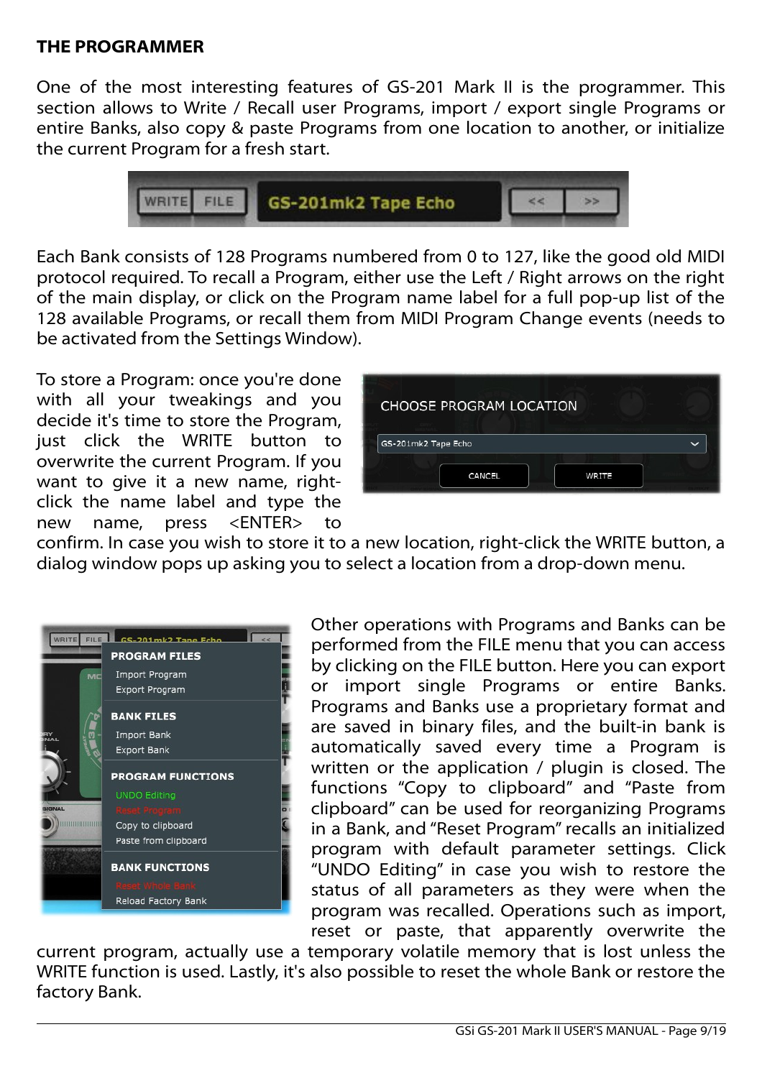### **THE PROGRAMMER**

One of the most interesting features of GS-201 Mark II is the programmer. This section allows to Write / Recall user Programs, import / export single Programs or entire Banks, also copy & paste Programs from one location to another, or initialize the current Program for a fresh start.



Each Bank consists of 128 Programs numbered from 0 to 127, like the good old MIDI protocol required. To recall a Program, either use the Left / Right arrows on the right of the main display, or click on the Program name label for a full pop-up list of the 128 available Programs, or recall them from MIDI Program Change events (needs to be activated from the Settings Window).

To store a Program: once you're done with all your tweakings and you decide it's time to store the Program, just click the WRITE button to overwrite the current Program. If you want to give it a new name, rightclick the name label and type the new name, press <ENTER> to



confirm. In case you wish to store it to a new location, right-click the WRITE button, a dialog window pops up asking you to select a location from a drop-down menu.



Other operations with Programs and Banks can be performed from the FILE menu that you can access by clicking on the FILE button. Here you can export or import single Programs or entire Banks. Programs and Banks use a proprietary format and are saved in binary files, and the built-in bank is automatically saved every time a Program is written or the application / plugin is closed. The functions "Copy to clipboard" and "Paste from clipboard" can be used for reorganizing Programs in a Bank, and "Reset Program" recalls an initialized program with default parameter settings. Click "UNDO Editing" in case you wish to restore the status of all parameters as they were when the program was recalled. Operations such as import, reset or paste, that apparently overwrite the

current program, actually use a temporary volatile memory that is lost unless the WRITE function is used. Lastly, it's also possible to reset the whole Bank or restore the factory Bank.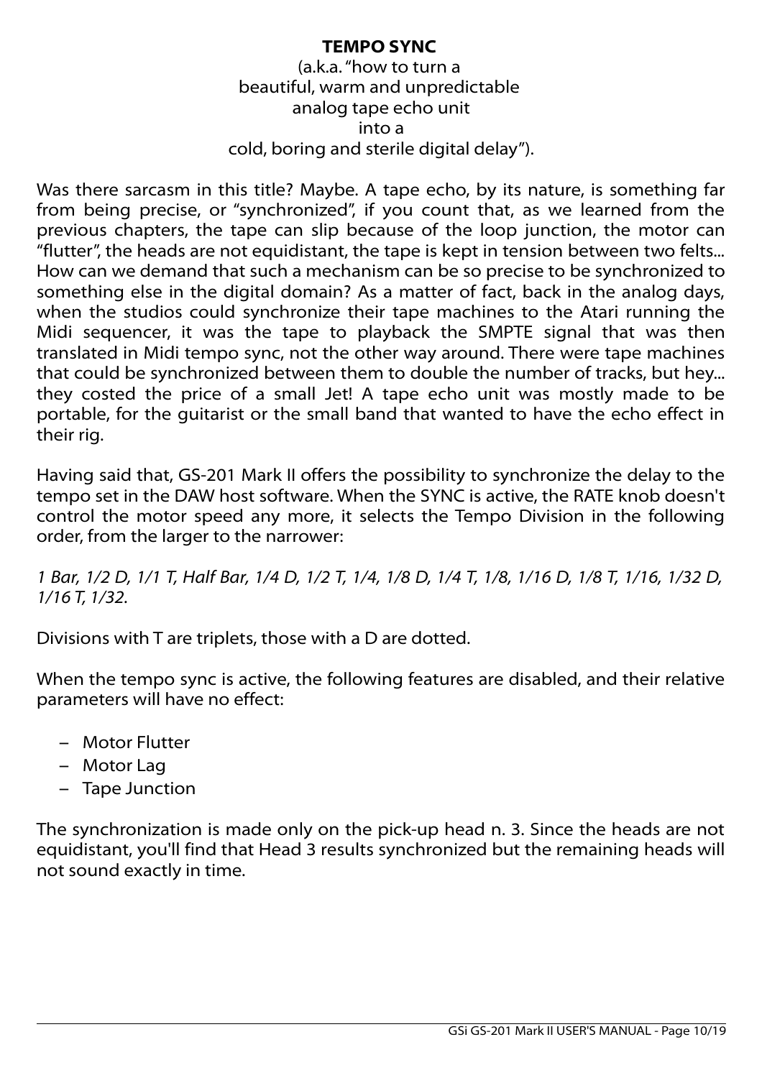### **TEMPO SYNC**

(a.k.a. "how to turn a beautiful, warm and unpredictable analog tape echo unit into a cold, boring and sterile digital delay").

Was there sarcasm in this title? Maybe. A tape echo, by its nature, is something far from being precise, or "synchronized", if you count that, as we learned from the previous chapters, the tape can slip because of the loop junction, the motor can "flutter", the heads are not equidistant, the tape is kept in tension between two felts... How can we demand that such a mechanism can be so precise to be synchronized to something else in the digital domain? As a matter of fact, back in the analog days, when the studios could synchronize their tape machines to the Atari running the Midi sequencer, it was the tape to playback the SMPTE signal that was then translated in Midi tempo sync, not the other way around. There were tape machines that could be synchronized between them to double the number of tracks, but hey... they costed the price of a small Jet! A tape echo unit was mostly made to be portable, for the guitarist or the small band that wanted to have the echo effect in their rig.

Having said that, GS-201 Mark II offers the possibility to synchronize the delay to the tempo set in the DAW host software. When the SYNC is active, the RATE knob doesn't control the motor speed any more, it selects the Tempo Division in the following order, from the larger to the narrower:

*1 Bar, 1/2 D, 1/1 T, Half Bar, 1/4 D, 1/2 T, 1/4, 1/8 D, 1/4 T, 1/8, 1/16 D, 1/8 T, 1/16, 1/32 D, 1/16 T, 1/32.*

Divisions with T are triplets, those with a D are dotted.

When the tempo sync is active, the following features are disabled, and their relative parameters will have no effect:

- Motor Flutter
- Motor Lag
- Tape Junction

The synchronization is made only on the pick-up head n. 3. Since the heads are not equidistant, you'll find that Head 3 results synchronized but the remaining heads will not sound exactly in time.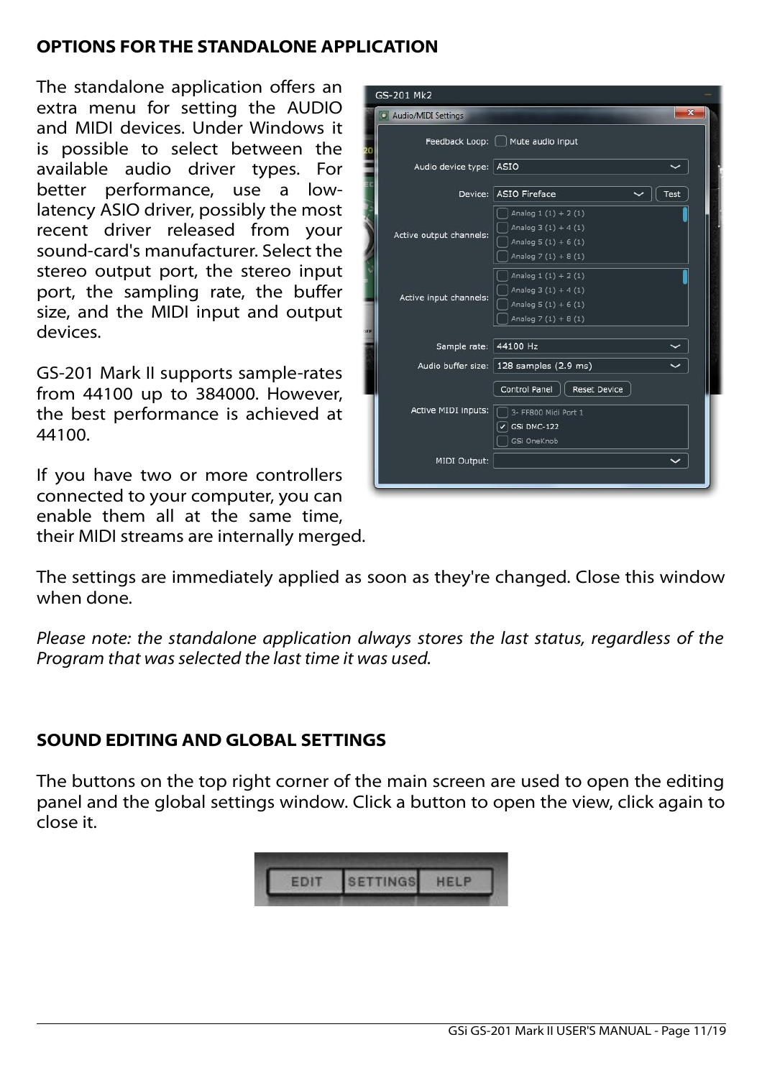# **OPTIONS FOR THE STANDALONE APPLICATION**

The standalone application offers an extra menu for setting the AUDIO and MIDI devices. Under Windows it is possible to select between the available audio driver types. For better performance, use a lowlatency ASIO driver, possibly the most recent driver released from your sound-card's manufacturer. Select the stereo output port, the stereo input port, the sampling rate, the buffer size, and the MIDI input and output devices.

GS-201 Mark II supports sample-rates from 44100 up to 384000. However, the best performance is achieved at 44100.

If you have two or more controllers connected to your computer, you can enable them all at the same time, their MIDI streams are internally merged.

|           | GS-201 Mk2              |                                                                                              |              |  |  |
|-----------|-------------------------|----------------------------------------------------------------------------------------------|--------------|--|--|
|           | Audio/MIDI Settings     |                                                                                              | $\mathbf{x}$ |  |  |
|           |                         | Feedback Loop:     Mute audio input                                                          |              |  |  |
|           | Audio device type: ASIO |                                                                                              |              |  |  |
|           |                         | Device: ASIO Fireface                                                                        | Test         |  |  |
|           | Active output channels: | Analog $1(1) + 2(1)$<br>Analog $3(1) + 4(1)$<br>Analog $5(1) + 6(1)$<br>Analog $7(1) + 8(1)$ |              |  |  |
| <b>FF</b> | Active input channels:  | Analog $1(1) + 2(1)$<br>Analog $3(1) + 4(1)$<br>Analog $5(1) + 6(1)$<br>Analog $7(1) + 8(1)$ |              |  |  |
|           | Sample rate:            | 44100 Hz                                                                                     |              |  |  |
|           |                         | Audio buffer size:   128 samples (2.9 ms)                                                    |              |  |  |
|           |                         | Control Panel<br><b>Reset Device</b>                                                         |              |  |  |
|           | Active MIDI inputs:     | 3- FF800 Midi Port 1                                                                         |              |  |  |
|           |                         | GSi DMC-122<br>GSi OneKnob                                                                   |              |  |  |
|           | MIDI Output:            |                                                                                              |              |  |  |
|           |                         |                                                                                              |              |  |  |

The settings are immediately applied as soon as they're changed. Close this window when done.

*Please note: the standalone application always stores the last status, regardless of the Program that was selected the last time it was used.*

# **SOUND EDITING AND GLOBAL SETTINGS**

The buttons on the top right corner of the main screen are used to open the editing panel and the global settings window. Click a button to open the view, click again to close it.

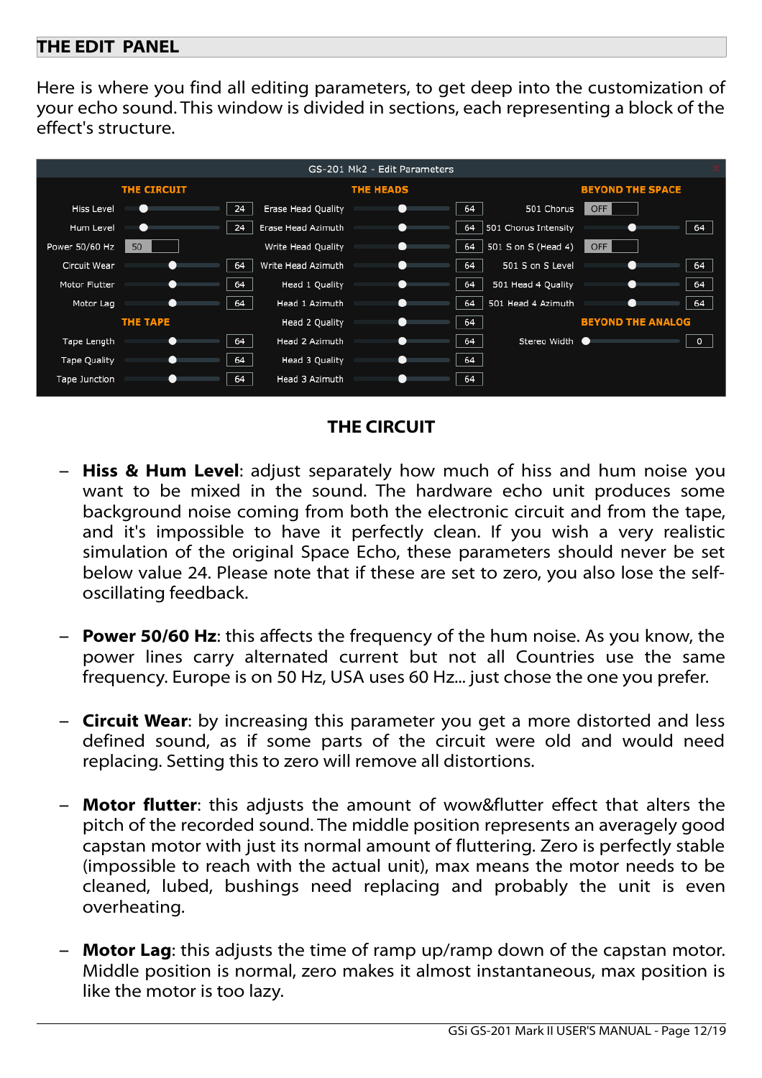### **THE EDIT PANEL**

Here is where you find all editing parameters, to get deep into the customization of your echo sound. This window is divided in sections, each representing a block of the effect's structure.



## **THE CIRCUIT**

- **Hiss & Hum Level:** adjust separately how much of hiss and hum noise you want to be mixed in the sound. The hardware echo unit produces some background noise coming from both the electronic circuit and from the tape, and it's impossible to have it perfectly clean. If you wish a very realistic simulation of the original Space Echo, these parameters should never be set below value 24. Please note that if these are set to zero, you also lose the selfoscillating feedback.
- **Power 50/60 Hz**: this affects the frequency of the hum noise. As you know, the power lines carry alternated current but not all Countries use the same frequency. Europe is on 50 Hz, USA uses 60 Hz... just chose the one you prefer.
- **Circuit Wear**: by increasing this parameter you get a more distorted and less defined sound, as if some parts of the circuit were old and would need replacing. Setting this to zero will remove all distortions.
- **Motor flutter**: this adjusts the amount of wow&flutter effect that alters the pitch of the recorded sound. The middle position represents an averagely good capstan motor with just its normal amount of fluttering. Zero is perfectly stable (impossible to reach with the actual unit), max means the motor needs to be cleaned, lubed, bushings need replacing and probably the unit is even overheating.
- **Motor Lag**: this adjusts the time of ramp up/ramp down of the capstan motor. Middle position is normal, zero makes it almost instantaneous, max position is like the motor is too lazy.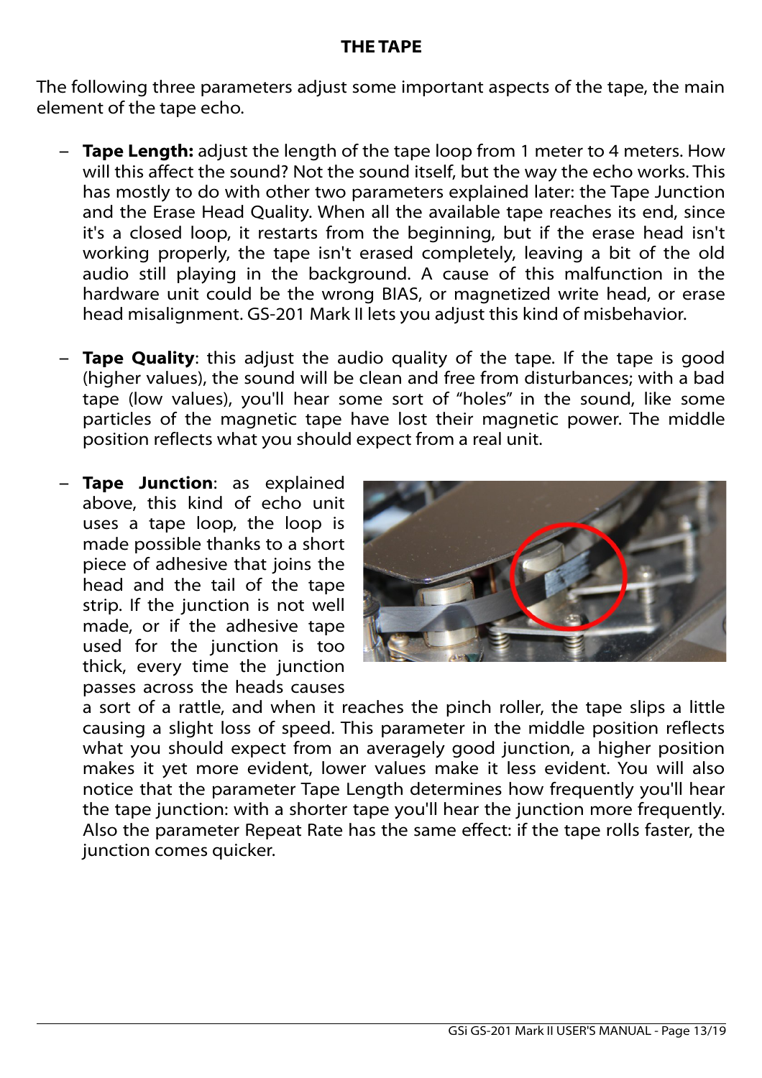# **THE TAPE**

The following three parameters adjust some important aspects of the tape, the main element of the tape echo.

- **Tape Length:** adjust the length of the tape loop from 1 meter to 4 meters. How will this affect the sound? Not the sound itself, but the way the echo works. This has mostly to do with other two parameters explained later: the Tape Junction and the Erase Head Quality. When all the available tape reaches its end, since it's a closed loop, it restarts from the beginning, but if the erase head isn't working properly, the tape isn't erased completely, leaving a bit of the old audio still playing in the background. A cause of this malfunction in the hardware unit could be the wrong BIAS, or magnetized write head, or erase head misalignment. GS-201 Mark II lets you adjust this kind of misbehavior.
- **Tape Quality**: this adjust the audio quality of the tape. If the tape is good (higher values), the sound will be clean and free from disturbances; with a bad tape (low values), you'll hear some sort of "holes" in the sound, like some particles of the magnetic tape have lost their magnetic power. The middle position reflects what you should expect from a real unit.
- **Tape Junction**: as explained above, this kind of echo unit uses a tape loop, the loop is made possible thanks to a short piece of adhesive that joins the head and the tail of the tape strip. If the junction is not well made, or if the adhesive tape used for the junction is too thick, every time the junction passes across the heads causes



a sort of a rattle, and when it reaches the pinch roller, the tape slips a little causing a slight loss of speed. This parameter in the middle position reflects what you should expect from an averagely good junction, a higher position makes it yet more evident, lower values make it less evident. You will also notice that the parameter Tape Length determines how frequently you'll hear the tape junction: with a shorter tape you'll hear the junction more frequently. Also the parameter Repeat Rate has the same effect: if the tape rolls faster, the junction comes quicker.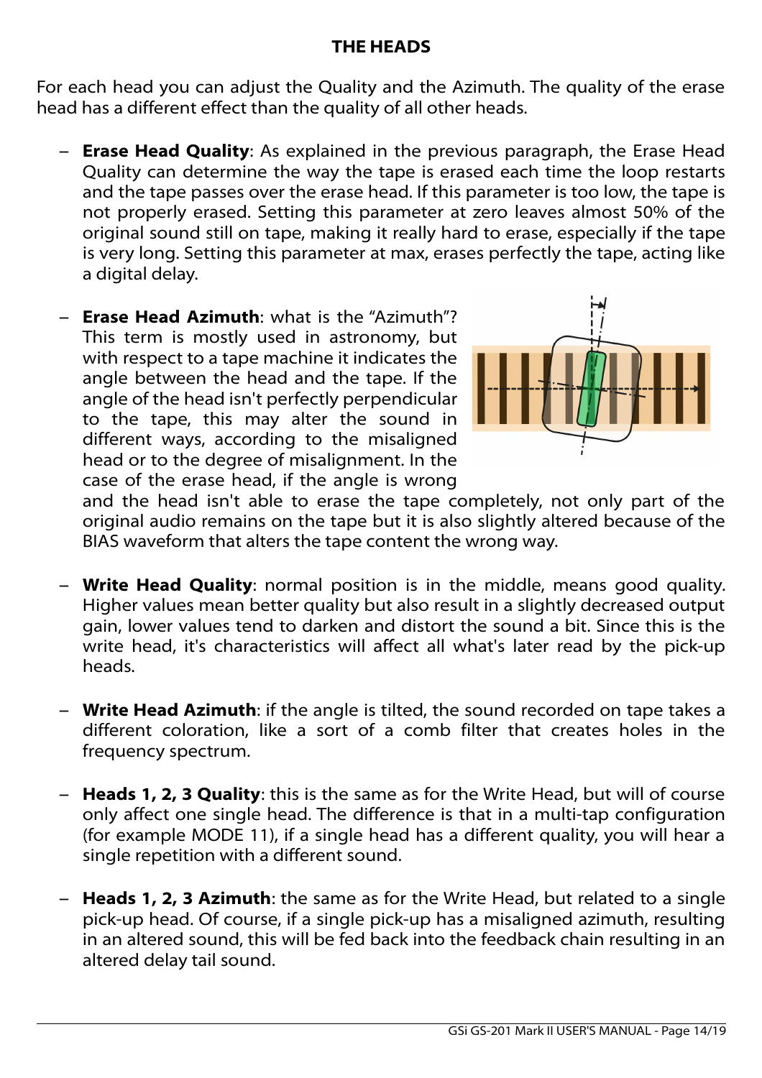# **THE HEADS**

For each head you can adjust the Quality and the Azimuth. The quality of the erase head has a different effect than the quality of all other heads.

- **Erase Head Quality**: As explained in the previous paragraph, the Erase Head Quality can determine the way the tape is erased each time the loop restarts and the tape passes over the erase head. If this parameter is too low, the tape is not properly erased. Setting this parameter at zero leaves almost 50% of the original sound still on tape, making it really hard to erase, especially if the tape is very long. Setting this parameter at max, erases perfectly the tape, acting like a digital delay.
- **Erase Head Azimuth**: what is the "Azimuth"? This term is mostly used in astronomy, but with respect to a tape machine it indicates the angle between the head and the tape. If the angle of the head isn't perfectly perpendicular to the tape, this may alter the sound in different ways, according to the misaligned head or to the degree of misalignment. In the case of the erase head, if the angle is wrong



and the head isn't able to erase the tape completely, not only part of the original audio remains on the tape but it is also slightly altered because of the BIAS waveform that alters the tape content the wrong way.

- **Write Head Quality**: normal position is in the middle, means good quality. Higher values mean better quality but also result in a slightly decreased output gain, lower values tend to darken and distort the sound a bit. Since this is the write head, it's characteristics will affect all what's later read by the pick-up heads.
- **Write Head Azimuth**: if the angle is tilted, the sound recorded on tape takes a different coloration, like a sort of a comb filter that creates holes in the frequency spectrum.
- **Heads 1, 2, 3 Quality**: this is the same as for the Write Head, but will of course only affect one single head. The difference is that in a multi-tap configuration (for example MODE 11), if a single head has a different quality, you will hear a single repetition with a different sound.
- **Heads 1, 2, 3 Azimuth**: the same as for the Write Head, but related to a single pick-up head. Of course, if a single pick-up has a misaligned azimuth, resulting in an altered sound, this will be fed back into the feedback chain resulting in an altered delay tail sound.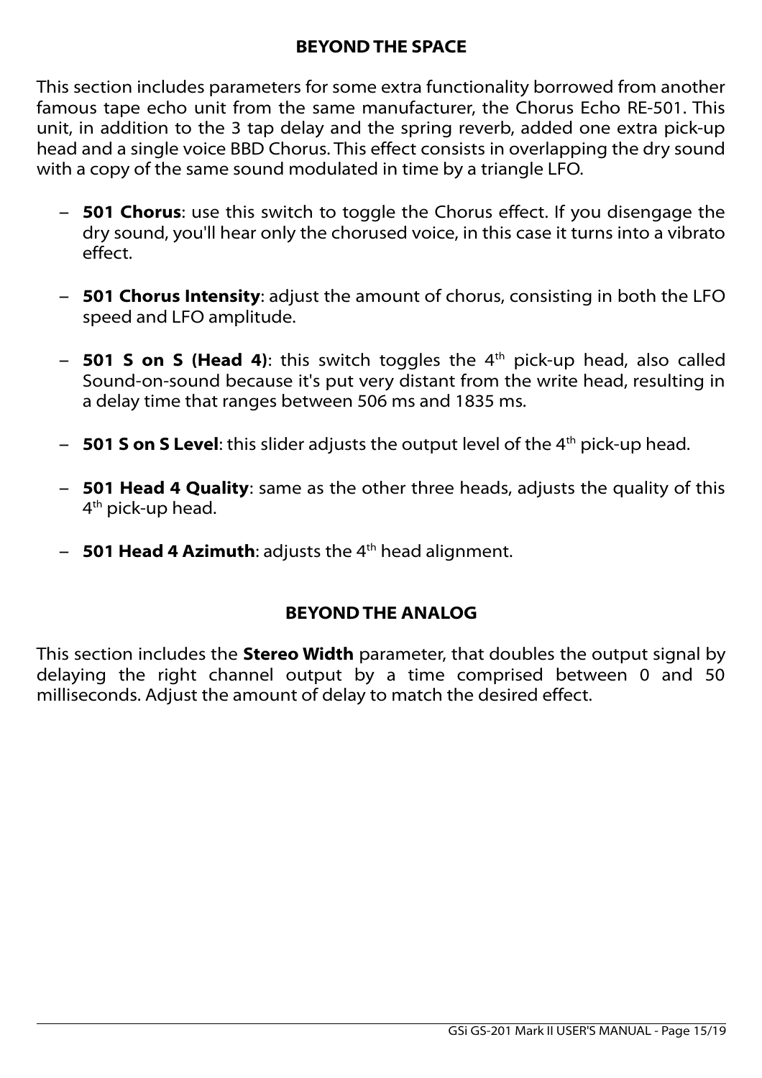# **BEYOND THE SPACE**

This section includes parameters for some extra functionality borrowed from another famous tape echo unit from the same manufacturer, the Chorus Echo RE-501. This unit, in addition to the 3 tap delay and the spring reverb, added one extra pick-up head and a single voice BBD Chorus. This effect consists in overlapping the dry sound with a copy of the same sound modulated in time by a triangle LFO.

- **501 Chorus**: use this switch to toggle the Chorus effect. If you disengage the dry sound, you'll hear only the chorused voice, in this case it turns into a vibrato effect.
- **501 Chorus Intensity**: adjust the amount of chorus, consisting in both the LFO speed and LFO amplitude.
- **501 S on S (Head 4)**: this switch toggles the 4<sup>th</sup> pick-up head, also called Sound-on-sound because it's put very distant from the write head, resulting in a delay time that ranges between 506 ms and 1835 ms.
- **501 S on S Level**: this slider adjusts the output level of the 4th pick-up head.
- **501 Head 4 Quality**: same as the other three heads, adjusts the quality of this 4<sup>th</sup> pick-up head.
- $-$  **501 Head 4 Azimuth**: adjusts the  $4<sup>th</sup>$  head alignment.

# **BEYOND THE ANALOG**

This section includes the **Stereo Width** parameter, that doubles the output signal by delaying the right channel output by a time comprised between 0 and 50 milliseconds. Adjust the amount of delay to match the desired effect.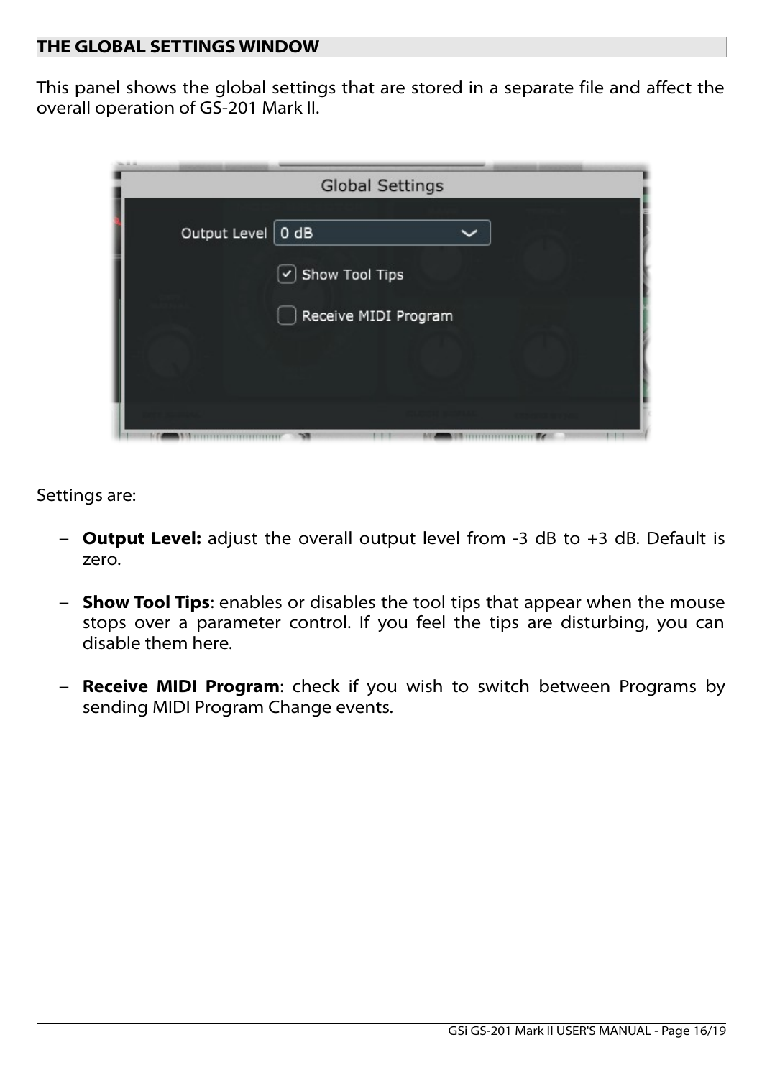### **THE GLOBAL SETTINGS WINDOW**

This panel shows the global settings that are stored in a separate file and affect the overall operation of GS-201 Mark II.



Settings are:

- **Output Level:** adjust the overall output level from -3 dB to +3 dB. Default is zero.
- **Show Tool Tips**: enables or disables the tool tips that appear when the mouse stops over a parameter control. If you feel the tips are disturbing, you can disable them here.
- **Receive MIDI Program**: check if you wish to switch between Programs by sending MIDI Program Change events.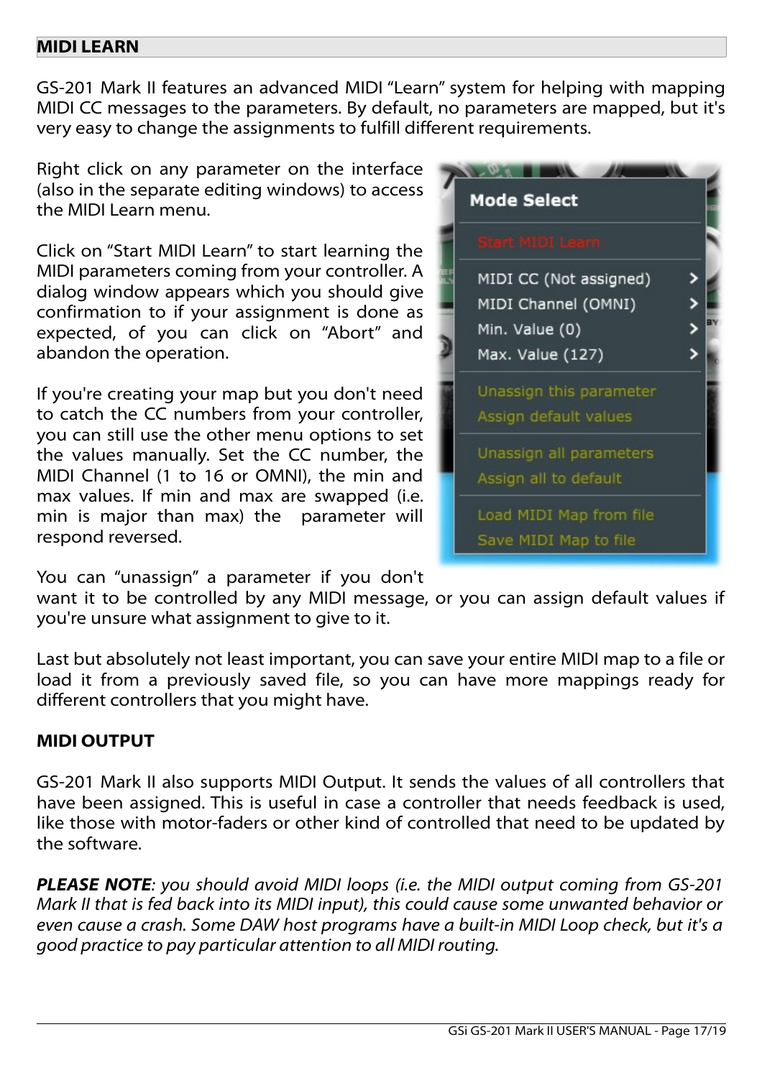### **MIDI LEARN**

GS-201 Mark II features an advanced MIDI "Learn" system for helping with mapping MIDI CC messages to the parameters. By default, no parameters are mapped, but it's very easy to change the assignments to fulfill different requirements.

Right click on any parameter on the interface (also in the separate editing windows) to access the MIDI Learn menu.

Click on "Start MIDI Learn" to start learning the MIDI parameters coming from your controller. A dialog window appears which you should give confirmation to if your assignment is done as expected, of you can click on "Abort" and abandon the operation.

If you're creating your map but you don't need to catch the CC numbers from your controller, you can still use the other menu options to set the values manually. Set the CC number, the MIDI Channel (1 to 16 or OMNI), the min and max values. If min and max are swapped (i.e. min is major than max) the parameter will respond reversed.



You can "unassign" a parameter if you don't

want it to be controlled by any MIDI message, or you can assign default values if you're unsure what assignment to give to it.

Last but absolutely not least important, you can save your entire MIDI map to a file or load it from a previously saved file, so you can have more mappings ready for different controllers that you might have.

# **MIDI OUTPUT**

GS-201 Mark II also supports MIDI Output. It sends the values of all controllers that have been assigned. This is useful in case a controller that needs feedback is used, like those with motor-faders or other kind of controlled that need to be updated by the software.

*PLEASE NOTE: you should avoid MIDI loops (i.e. the MIDI output coming from GS-201 Mark II that is fed back into its MIDI input), this could cause some unwanted behavior or even cause a crash. Some DAW host programs have a built-in MIDI Loop check, but it's a good practice to pay particular attention to all MIDI routing.*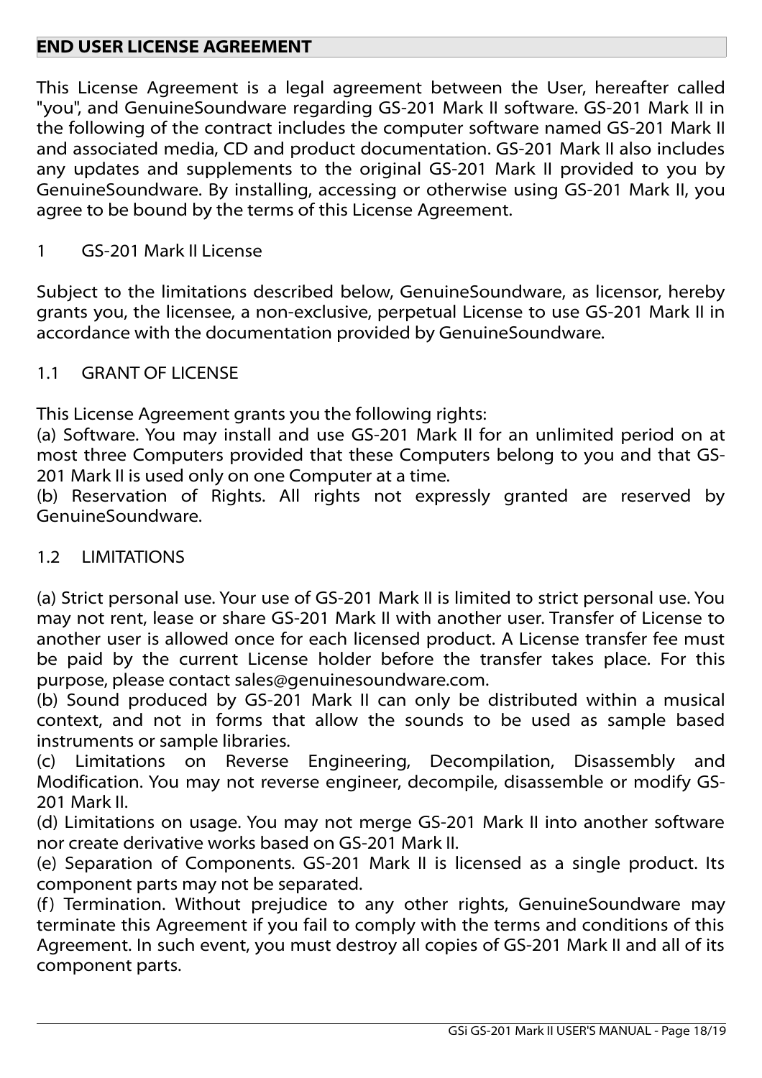# **END USER LICENSE AGREEMENT**

This License Agreement is a legal agreement between the User, hereafter called "you", and GenuineSoundware regarding GS-201 Mark II software. GS-201 Mark II in the following of the contract includes the computer software named GS-201 Mark II and associated media, CD and product documentation. GS-201 Mark II also includes any updates and supplements to the original GS-201 Mark II provided to you by GenuineSoundware. By installing, accessing or otherwise using GS-201 Mark II, you agree to be bound by the terms of this License Agreement.

# 1 GS-201 Mark II License

Subject to the limitations described below, GenuineSoundware, as licensor, hereby grants you, the licensee, a non-exclusive, perpetual License to use GS-201 Mark II in accordance with the documentation provided by GenuineSoundware.

## 1.1 GRANT OF LICENSE

This License Agreement grants you the following rights:

(a) Software. You may install and use GS-201 Mark II for an unlimited period on at most three Computers provided that these Computers belong to you and that GS-201 Mark II is used only on one Computer at a time.

(b) Reservation of Rights. All rights not expressly granted are reserved by GenuineSoundware.

### 1.2 LIMITATIONS

(a) Strict personal use. Your use of GS-201 Mark II is limited to strict personal use. You may not rent, lease or share GS-201 Mark II with another user. Transfer of License to another user is allowed once for each licensed product. A License transfer fee must be paid by the current License holder before the transfer takes place. For this purpose, please contact sales@genuinesoundware.com.

(b) Sound produced by GS-201 Mark II can only be distributed within a musical context, and not in forms that allow the sounds to be used as sample based instruments or sample libraries.

(c) Limitations on Reverse Engineering, Decompilation, Disassembly and Modification. You may not reverse engineer, decompile, disassemble or modify GS-201 Mark II.

(d) Limitations on usage. You may not merge GS-201 Mark II into another software nor create derivative works based on GS-201 Mark II.

(e) Separation of Components. GS-201 Mark II is licensed as a single product. Its component parts may not be separated.

(f) Termination. Without prejudice to any other rights, GenuineSoundware may terminate this Agreement if you fail to comply with the terms and conditions of this Agreement. In such event, you must destroy all copies of GS-201 Mark II and all of its component parts.